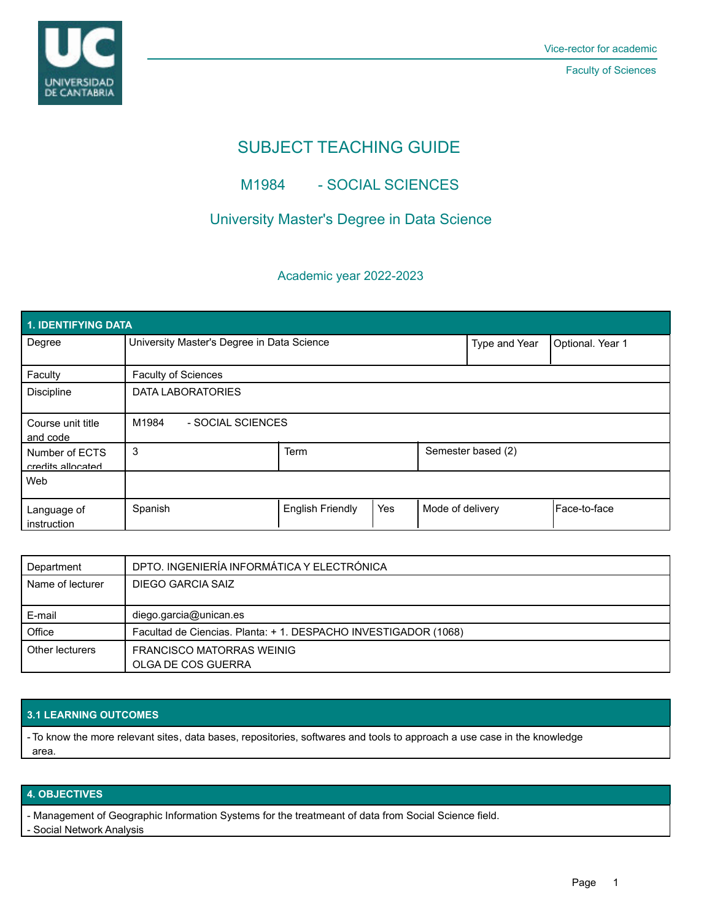

Faculty of Sciences

# SUBJECT TEACHING GUIDE

## M1984 - SOCIAL SCIENCES

## University Master's Degree in Data Science

### Academic year 2022-2023

| 1. IDENTIFYING DATA                 |                                            |                         |     |                  |                    |               |  |  |  |
|-------------------------------------|--------------------------------------------|-------------------------|-----|------------------|--------------------|---------------|--|--|--|
| Degree                              | University Master's Degree in Data Science |                         |     | Type and Year    | Optional. Year 1   |               |  |  |  |
| Faculty                             | <b>Faculty of Sciences</b>                 |                         |     |                  |                    |               |  |  |  |
| Discipline                          | DATA LABORATORIES                          |                         |     |                  |                    |               |  |  |  |
| Course unit title<br>and code       | M1984<br>- SOCIAL SCIENCES                 |                         |     |                  |                    |               |  |  |  |
| Number of ECTS<br>credits allocated | 3                                          | <b>Term</b>             |     |                  | Semester based (2) |               |  |  |  |
| Web                                 |                                            |                         |     |                  |                    |               |  |  |  |
| Language of<br>instruction          | Spanish                                    | <b>English Friendly</b> | Yes | Mode of delivery |                    | lFace-to-face |  |  |  |

| Department       | DPTO. INGENIERÍA INFORMÁTICA Y ELECTRÓNICA                     |  |
|------------------|----------------------------------------------------------------|--|
| Name of lecturer | DIEGO GARCIA SAIZ                                              |  |
|                  |                                                                |  |
| E-mail           | diego.garcia@unican.es                                         |  |
| Office           | Facultad de Ciencias. Planta: +1. DESPACHO INVESTIGADOR (1068) |  |
| Other lecturers  | FRANCISCO MATORRAS WEINIG                                      |  |
|                  | OLGA DE COS GUERRA                                             |  |

### **3.1 LEARNING OUTCOMES**

- To know the more relevant sites, data bases, repositories, softwares and tools to approach a use case in the knowledge area.

#### **4. OBJECTIVES**

- Management of Geographic Information Systems for the treatmeant of data from Social Science field.

- Social Network Analysis